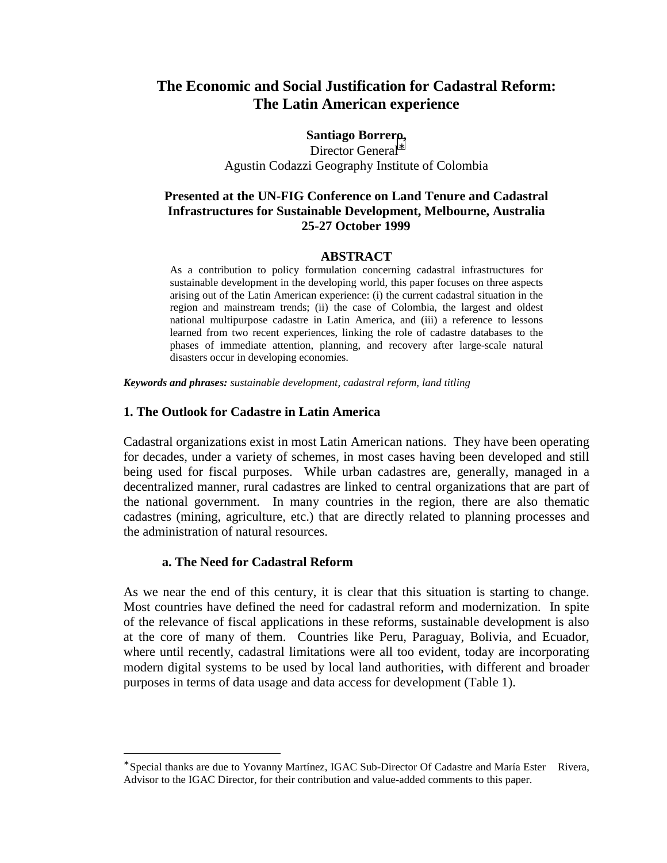# **The Economic and Social Justification for Cadastral Reform: The Latin American experience**

**Santiago Borrero,**

Director General<sup>\*</sup> Agustin Codazzi Geography Institute of Colombia

### **Presented at the UN-FIG Conference on Land Tenure and Cadastral Infrastructures for Sustainable Development, Melbourne, Australia 25-27 October 1999**

#### **ABSTRACT**

As a contribution to policy formulation concerning cadastral infrastructures for sustainable development in the developing world, this paper focuses on three aspects arising out of the Latin American experience: (i) the current cadastral situation in the region and mainstream trends; (ii) the case of Colombia, the largest and oldest national multipurpose cadastre in Latin America, and (iii) a reference to lessons learned from two recent experiences, linking the role of cadastre databases to the phases of immediate attention, planning, and recovery after large-scale natural disasters occur in developing economies.

*Keywords and phrases: sustainable development, cadastral reform, land titling*

#### **1. The Outlook for Cadastre in Latin America**

Cadastral organizations exist in most Latin American nations. They have been operating for decades, under a variety of schemes, in most cases having been developed and still being used for fiscal purposes. While urban cadastres are, generally, managed in a decentralized manner, rural cadastres are linked to central organizations that are part of the national government. In many countries in the region, there are also thematic cadastres (mining, agriculture, etc.) that are directly related to planning processes and the administration of natural resources.

#### **a. The Need for Cadastral Reform**

 $\overline{a}$ 

As we near the end of this century, it is clear that this situation is starting to change. Most countries have defined the need for cadastral reform and modernization. In spite of the relevance of fiscal applications in these reforms, sustainable development is also at the core of many of them. Countries like Peru, Paraguay, Bolivia, and Ecuador, where until recently, cadastral limitations were all too evident, today are incorporating modern digital systems to be used by local land authorities, with different and broader purposes in terms of data usage and data access for development (Table 1).

<sup>∗</sup> Special thanks are due to Yovanny Martínez, IGAC Sub-Director Of Cadastre and María Ester Rivera, Advisor to the IGAC Director, for their contribution and value-added comments to this paper.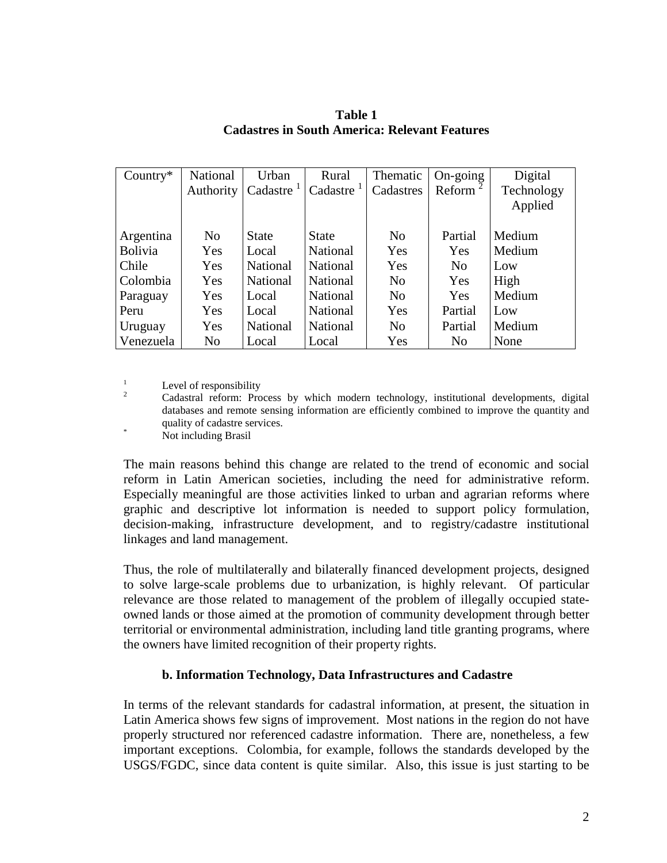| Country $*$    | National       | Urban        | Rural           | Thematic       | $On\text{-going}$ | Digital    |
|----------------|----------------|--------------|-----------------|----------------|-------------------|------------|
|                | Authority      | Cadastre     | Cadastre        | Cadastres      | Reform            | Technology |
|                |                |              |                 |                |                   | Applied    |
|                |                |              |                 |                |                   |            |
| Argentina      | N <sub>0</sub> | <b>State</b> | <b>State</b>    | N <sub>0</sub> | Partial           | Medium     |
| Bolivia        | Yes            | Local        | National        | Yes            | Yes               | Medium     |
| Chile          | Yes            | National     | <b>National</b> | Yes            | N <sub>0</sub>    | Low        |
| Colombia       | Yes            | National     | <b>National</b> | N <sub>0</sub> | Yes               | High       |
| Paraguay       | Yes            | Local        | National        | N <sub>0</sub> | Yes               | Medium     |
| Peru           | Yes            | Local        | National        | Yes            | Partial           | Low        |
| <b>Uruguay</b> | Yes            | National     | National        | N <sub>0</sub> | Partial           | Medium     |
| Venezuela      | No             | Local        | Local           | Yes            | N <sub>0</sub>    | None       |

**Table 1 Cadastres in South America: Relevant Features**

<sup>1</sup> Level of responsibility<br><sup>2</sup> Cadastral reform: Process by which modern technology, institutional developments, digital databases and remote sensing information are efficiently combined to improve the quantity and quality of cadastre services.<br>Not including Brasil

The main reasons behind this change are related to the trend of economic and social reform in Latin American societies, including the need for administrative reform. Especially meaningful are those activities linked to urban and agrarian reforms where graphic and descriptive lot information is needed to support policy formulation, decision-making, infrastructure development, and to registry/cadastre institutional linkages and land management.

Thus, the role of multilaterally and bilaterally financed development projects, designed to solve large-scale problems due to urbanization, is highly relevant. Of particular relevance are those related to management of the problem of illegally occupied stateowned lands or those aimed at the promotion of community development through better territorial or environmental administration, including land title granting programs, where the owners have limited recognition of their property rights.

# **b. Information Technology, Data Infrastructures and Cadastre**

In terms of the relevant standards for cadastral information, at present, the situation in Latin America shows few signs of improvement. Most nations in the region do not have properly structured nor referenced cadastre information. There are, nonetheless, a few important exceptions. Colombia, for example, follows the standards developed by the USGS/FGDC, since data content is quite similar. Also, this issue is just starting to be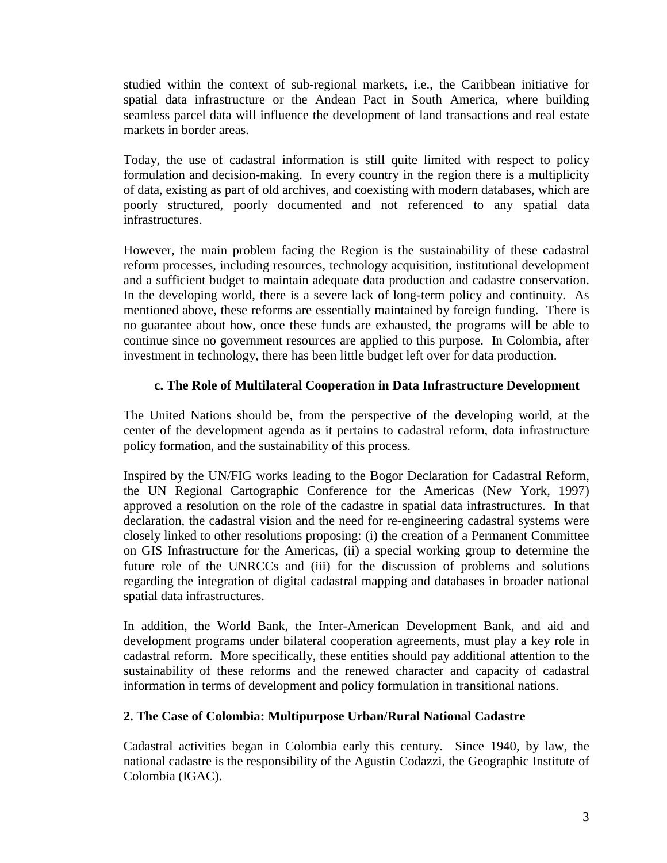studied within the context of sub-regional markets, i.e., the Caribbean initiative for spatial data infrastructure or the Andean Pact in South America, where building seamless parcel data will influence the development of land transactions and real estate markets in border areas.

Today, the use of cadastral information is still quite limited with respect to policy formulation and decision-making. In every country in the region there is a multiplicity of data, existing as part of old archives, and coexisting with modern databases, which are poorly structured, poorly documented and not referenced to any spatial data infrastructures.

However, the main problem facing the Region is the sustainability of these cadastral reform processes, including resources, technology acquisition, institutional development and a sufficient budget to maintain adequate data production and cadastre conservation. In the developing world, there is a severe lack of long-term policy and continuity. As mentioned above, these reforms are essentially maintained by foreign funding. There is no guarantee about how, once these funds are exhausted, the programs will be able to continue since no government resources are applied to this purpose. In Colombia, after investment in technology, there has been little budget left over for data production.

### **c. The Role of Multilateral Cooperation in Data Infrastructure Development**

The United Nations should be, from the perspective of the developing world, at the center of the development agenda as it pertains to cadastral reform, data infrastructure policy formation, and the sustainability of this process.

Inspired by the UN/FIG works leading to the Bogor Declaration for Cadastral Reform, the UN Regional Cartographic Conference for the Americas (New York, 1997) approved a resolution on the role of the cadastre in spatial data infrastructures. In that declaration, the cadastral vision and the need for re-engineering cadastral systems were closely linked to other resolutions proposing: (i) the creation of a Permanent Committee on GIS Infrastructure for the Americas, (ii) a special working group to determine the future role of the UNRCCs and (iii) for the discussion of problems and solutions regarding the integration of digital cadastral mapping and databases in broader national spatial data infrastructures.

In addition, the World Bank, the Inter-American Development Bank, and aid and development programs under bilateral cooperation agreements, must play a key role in cadastral reform. More specifically, these entities should pay additional attention to the sustainability of these reforms and the renewed character and capacity of cadastral information in terms of development and policy formulation in transitional nations.

# **2. The Case of Colombia: Multipurpose Urban/Rural National Cadastre**

Cadastral activities began in Colombia early this century. Since 1940, by law, the national cadastre is the responsibility of the Agustin Codazzi, the Geographic Institute of Colombia (IGAC).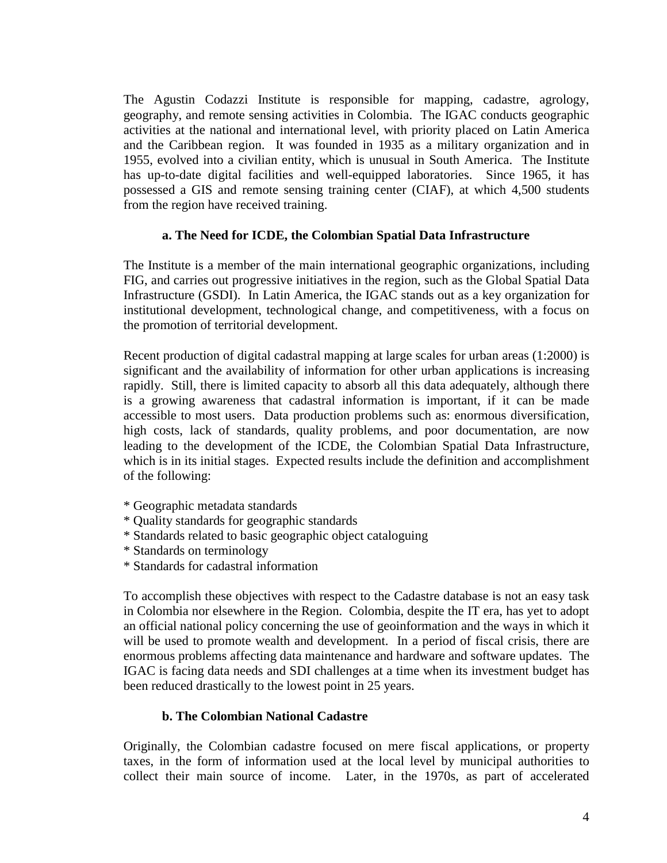The Agustin Codazzi Institute is responsible for mapping, cadastre, agrology, geography, and remote sensing activities in Colombia. The IGAC conducts geographic activities at the national and international level, with priority placed on Latin America and the Caribbean region. It was founded in 1935 as a military organization and in 1955, evolved into a civilian entity, which is unusual in South America. The Institute has up-to-date digital facilities and well-equipped laboratories. Since 1965, it has possessed a GIS and remote sensing training center (CIAF), at which 4,500 students from the region have received training.

### **a. The Need for ICDE, the Colombian Spatial Data Infrastructure**

The Institute is a member of the main international geographic organizations, including FIG, and carries out progressive initiatives in the region, such as the Global Spatial Data Infrastructure (GSDI). In Latin America, the IGAC stands out as a key organization for institutional development, technological change, and competitiveness, with a focus on the promotion of territorial development.

Recent production of digital cadastral mapping at large scales for urban areas (1:2000) is significant and the availability of information for other urban applications is increasing rapidly. Still, there is limited capacity to absorb all this data adequately, although there is a growing awareness that cadastral information is important, if it can be made accessible to most users. Data production problems such as: enormous diversification, high costs, lack of standards, quality problems, and poor documentation, are now leading to the development of the ICDE, the Colombian Spatial Data Infrastructure, which is in its initial stages. Expected results include the definition and accomplishment of the following:

- \* Geographic metadata standards
- \* Quality standards for geographic standards
- \* Standards related to basic geographic object cataloguing
- \* Standards on terminology
- \* Standards for cadastral information

To accomplish these objectives with respect to the Cadastre database is not an easy task in Colombia nor elsewhere in the Region. Colombia, despite the IT era, has yet to adopt an official national policy concerning the use of geoinformation and the ways in which it will be used to promote wealth and development. In a period of fiscal crisis, there are enormous problems affecting data maintenance and hardware and software updates. The IGAC is facing data needs and SDI challenges at a time when its investment budget has been reduced drastically to the lowest point in 25 years.

# **b. The Colombian National Cadastre**

Originally, the Colombian cadastre focused on mere fiscal applications, or property taxes, in the form of information used at the local level by municipal authorities to collect their main source of income. Later, in the 1970s, as part of accelerated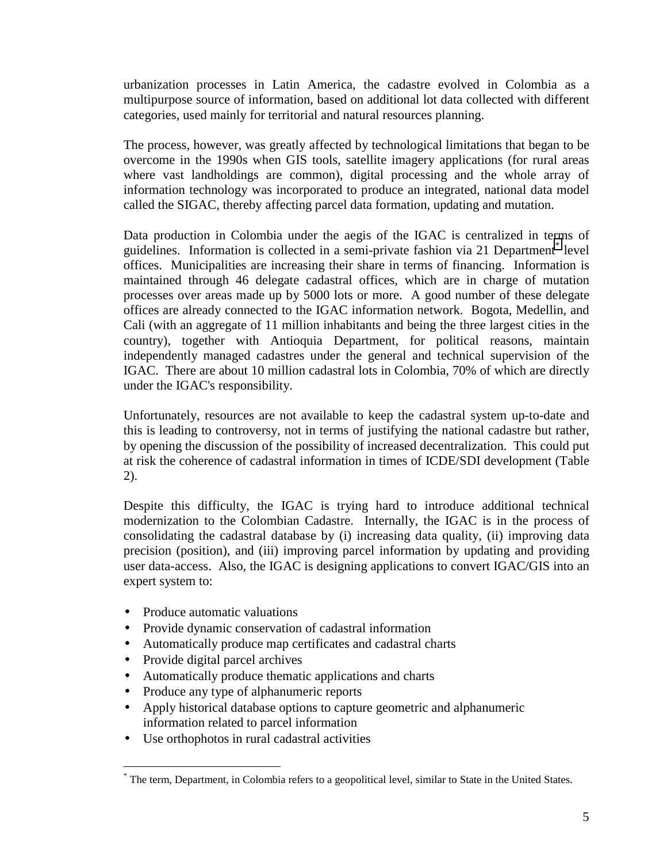urbanization processes in Latin America, the cadastre evolved in Colombia as a multipurpose source of information, based on additional lot data collected with different categories, used mainly for territorial and natural resources planning.

The process, however, was greatly affected by technological limitations that began to be overcome in the 1990s when GIS tools, satellite imagery applications (for rural areas where vast landholdings are common), digital processing and the whole array of information technology was incorporated to produce an integrated, national data model called the SIGAC, thereby affecting parcel data formation, updating and mutation.

Data production in Colombia under the aegis of the IGAC is centralized in terms of guidelines. Information is collected in a semi-private fashion via 21 Department<sup>\*</sup> level offices. Municipalities are increasing their share in terms of financing. Information is maintained through 46 delegate cadastral offices, which are in charge of mutation processes over areas made up by 5000 lots or more. A good number of these delegate offices are already connected to the IGAC information network. Bogota, Medellin, and Cali (with an aggregate of 11 million inhabitants and being the three largest cities in the country), together with Antioquia Department, for political reasons, maintain independently managed cadastres under the general and technical supervision of the IGAC. There are about 10 million cadastral lots in Colombia, 70% of which are directly under the IGAC's responsibility.

Unfortunately, resources are not available to keep the cadastral system up-to-date and this is leading to controversy, not in terms of justifying the national cadastre but rather, by opening the discussion of the possibility of increased decentralization. This could put at risk the coherence of cadastral information in times of ICDE/SDI development (Table 2).

Despite this difficulty, the IGAC is trying hard to introduce additional technical modernization to the Colombian Cadastre. Internally, the IGAC is in the process of consolidating the cadastral database by (i) increasing data quality, (ii) improving data precision (position), and (iii) improving parcel information by updating and providing user data-access. Also, the IGAC is designing applications to convert IGAC/GIS into an expert system to:

- Produce automatic valuations
- Provide dynamic conservation of cadastral information
- Automatically produce map certificates and cadastral charts
- Provide digital parcel archives

 $\overline{a}$ 

- Automatically produce thematic applications and charts
- Produce any type of alphanumeric reports
- Apply historical database options to capture geometric and alphanumeric information related to parcel information
- Use orthophotos in rural cadastral activities

<sup>\*</sup> The term, Department, in Colombia refers to a geopolitical level, similar to State in the United States.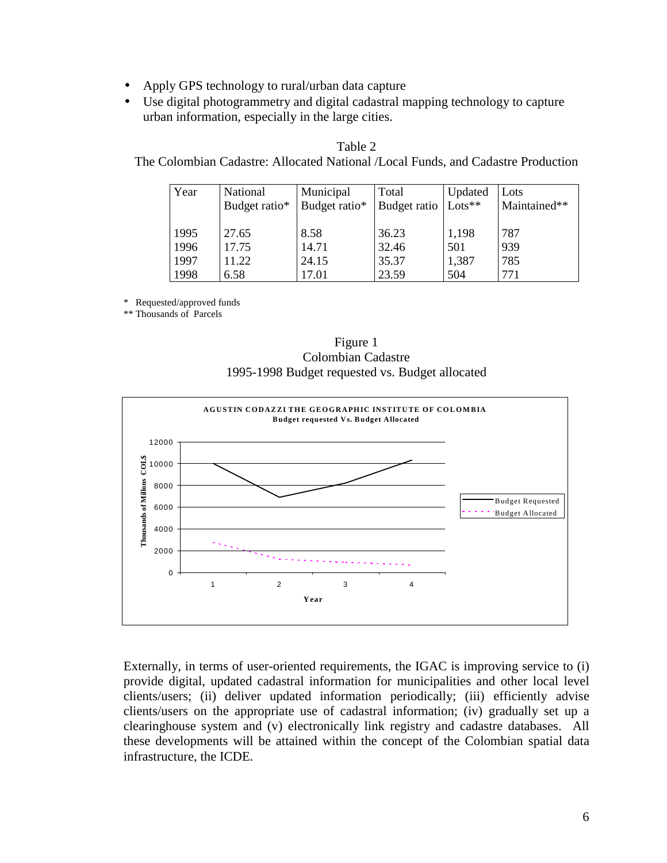- Apply GPS technology to rural/urban data capture
- Use digital photogrammetry and digital cadastral mapping technology to capture urban information, especially in the large cities.

| Year | National      | Municipal     | Total        | Updated  | Lots         |
|------|---------------|---------------|--------------|----------|--------------|
|      | Budget ratio* | Budget ratio* | Budget ratio | $Lots**$ | Maintained** |
| 1995 | 27.65         | 8.58          | 36.23        | 1,198    | 787          |
| 1996 | 17.75         | 14.71         | 32.46        | 501      | 939          |
| 1997 | 11.22         | 24.15         | 35.37        | 1,387    | 785          |
| 1998 | 6.58          | 17.01         | 23.59        | 504      | 771          |

Table 2 The Colombian Cadastre: Allocated National /Local Funds, and Cadastre Production

\* Requested/approved funds

\*\* Thousands of Parcels





Externally, in terms of user-oriented requirements, the IGAC is improving service to (i) provide digital, updated cadastral information for municipalities and other local level clients/users; (ii) deliver updated information periodically; (iii) efficiently advise clients/users on the appropriate use of cadastral information; (iv) gradually set up a clearinghouse system and (v) electronically link registry and cadastre databases. All these developments will be attained within the concept of the Colombian spatial data infrastructure, the ICDE.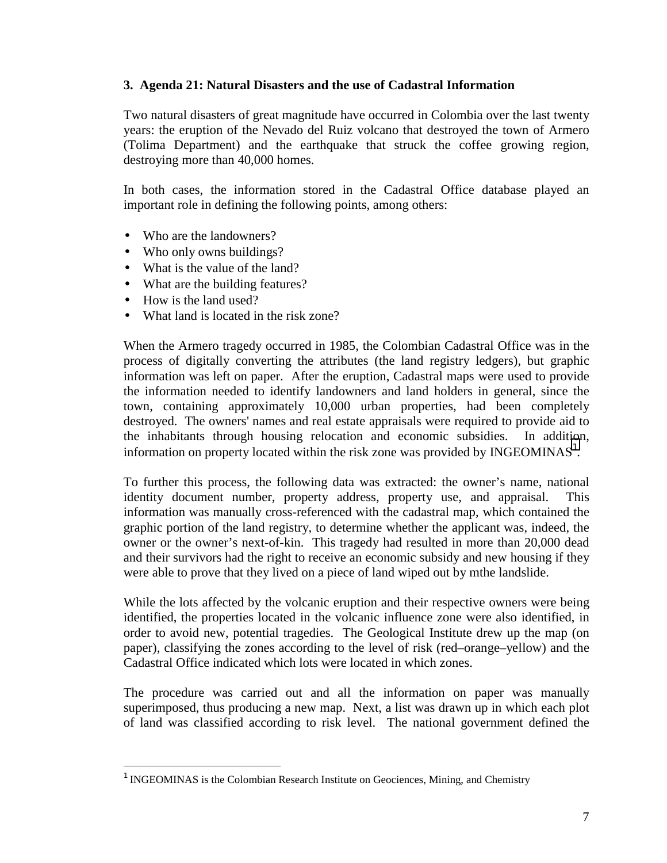#### **3. Agenda 21: Natural Disasters and the use of Cadastral Information**

Two natural disasters of great magnitude have occurred in Colombia over the last twenty years: the eruption of the Nevado del Ruiz volcano that destroyed the town of Armero (Tolima Department) and the earthquake that struck the coffee growing region, destroying more than 40,000 homes.

In both cases, the information stored in the Cadastral Office database played an important role in defining the following points, among others:

- Who are the landowners?
- Who only owns buildings?
- What is the value of the land?
- What are the building features?
- How is the land used?

 $\overline{a}$ 

• What land is located in the risk zone?

When the Armero tragedy occurred in 1985, the Colombian Cadastral Office was in the process of digitally converting the attributes (the land registry ledgers), but graphic information was left on paper. After the eruption, Cadastral maps were used to provide the information needed to identify landowners and land holders in general, since the town, containing approximately 10,000 urban properties, had been completely destroyed. The owners' names and real estate appraisals were required to provide aid to the inhabitants through housing relocation and economic subsidies. In addition, information on property located within the risk zone was provided by INGEOMINAS<sup>1</sup>.

To further this process, the following data was extracted: the owner's name, national identity document number, property address, property use, and appraisal. information was manually cross-referenced with the cadastral map, which contained the graphic portion of the land registry, to determine whether the applicant was, indeed, the owner or the owner's next-of-kin. This tragedy had resulted in more than 20,000 dead and their survivors had the right to receive an economic subsidy and new housing if they were able to prove that they lived on a piece of land wiped out by mthe landslide.

While the lots affected by the volcanic eruption and their respective owners were being identified, the properties located in the volcanic influence zone were also identified, in order to avoid new, potential tragedies. The Geological Institute drew up the map (on paper), classifying the zones according to the level of risk (red–orange–yellow) and the Cadastral Office indicated which lots were located in which zones.

The procedure was carried out and all the information on paper was manually superimposed, thus producing a new map. Next, a list was drawn up in which each plot of land was classified according to risk level. The national government defined the

 $<sup>1</sup>$  INGEOMINAS is the Colombian Research Institute on Geociences, Mining, and Chemistry</sup>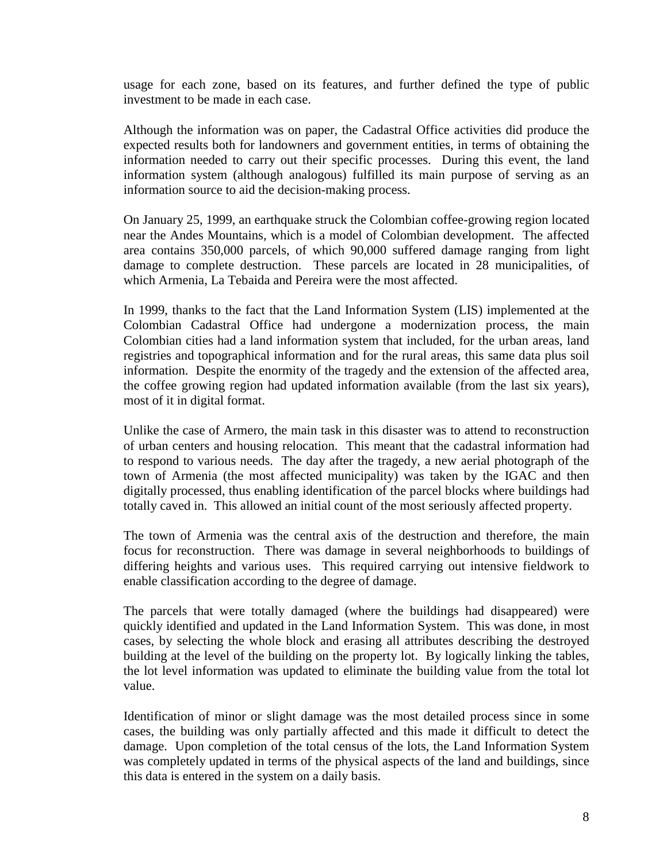usage for each zone, based on its features, and further defined the type of public investment to be made in each case.

Although the information was on paper, the Cadastral Office activities did produce the expected results both for landowners and government entities, in terms of obtaining the information needed to carry out their specific processes. During this event, the land information system (although analogous) fulfilled its main purpose of serving as an information source to aid the decision-making process.

On January 25, 1999, an earthquake struck the Colombian coffee-growing region located near the Andes Mountains, which is a model of Colombian development. The affected area contains 350,000 parcels, of which 90,000 suffered damage ranging from light damage to complete destruction. These parcels are located in 28 municipalities, of which Armenia, La Tebaida and Pereira were the most affected.

In 1999, thanks to the fact that the Land Information System (LIS) implemented at the Colombian Cadastral Office had undergone a modernization process, the main Colombian cities had a land information system that included, for the urban areas, land registries and topographical information and for the rural areas, this same data plus soil information. Despite the enormity of the tragedy and the extension of the affected area, the coffee growing region had updated information available (from the last six years), most of it in digital format.

Unlike the case of Armero, the main task in this disaster was to attend to reconstruction of urban centers and housing relocation. This meant that the cadastral information had to respond to various needs. The day after the tragedy, a new aerial photograph of the town of Armenia (the most affected municipality) was taken by the IGAC and then digitally processed, thus enabling identification of the parcel blocks where buildings had totally caved in. This allowed an initial count of the most seriously affected property.

The town of Armenia was the central axis of the destruction and therefore, the main focus for reconstruction. There was damage in several neighborhoods to buildings of differing heights and various uses. This required carrying out intensive fieldwork to enable classification according to the degree of damage.

The parcels that were totally damaged (where the buildings had disappeared) were quickly identified and updated in the Land Information System. This was done, in most cases, by selecting the whole block and erasing all attributes describing the destroyed building at the level of the building on the property lot. By logically linking the tables, the lot level information was updated to eliminate the building value from the total lot value.

Identification of minor or slight damage was the most detailed process since in some cases, the building was only partially affected and this made it difficult to detect the damage. Upon completion of the total census of the lots, the Land Information System was completely updated in terms of the physical aspects of the land and buildings, since this data is entered in the system on a daily basis.